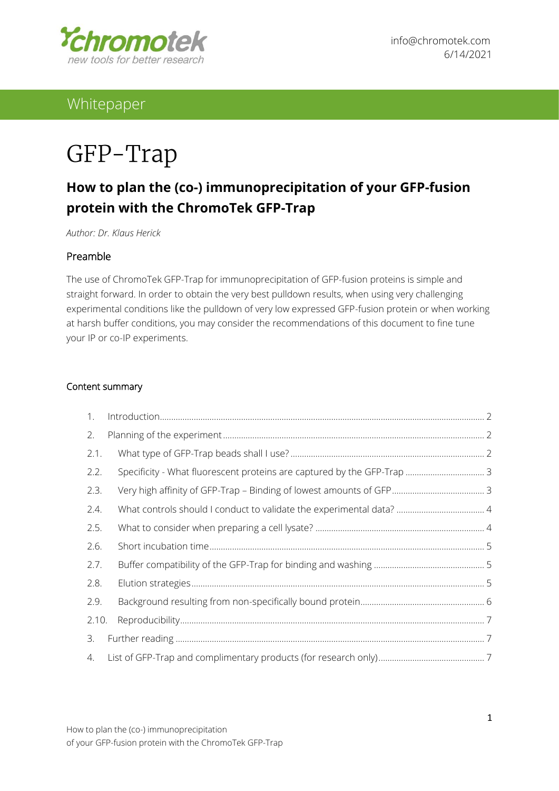

# Whitepaper

# GFP-Trap

# **How to plan the (co-) immunoprecipitation of your GFP-fusion protein with the ChromoTek GFP-Trap**

*Author: Dr. Klaus Herick*

#### Preamble

The use of ChromoTek GFP-Trap for immunoprecipitation of GFP-fusion proteins is simple and straight forward. In order to obtain the very best pulldown results, when using very challenging experimental conditions like the pulldown of very low expressed GFP-fusion protein or when working at harsh buffer conditions, you may consider the recommendations of this document to fine tune your IP or co-IP experiments.

#### Content summary

| 1.    |                                                                         |  |
|-------|-------------------------------------------------------------------------|--|
| 2.    |                                                                         |  |
| 2.1.  |                                                                         |  |
| 2.2.  | Specificity - What fluorescent proteins are captured by the GFP-Trap  3 |  |
| 2.3.  |                                                                         |  |
| 2.4.  |                                                                         |  |
| 2.5.  |                                                                         |  |
| 2.6.  |                                                                         |  |
| 2.7.  |                                                                         |  |
| 2.8.  |                                                                         |  |
| 2.9.  |                                                                         |  |
| 2.10. |                                                                         |  |
| 3.    |                                                                         |  |
| 4.    |                                                                         |  |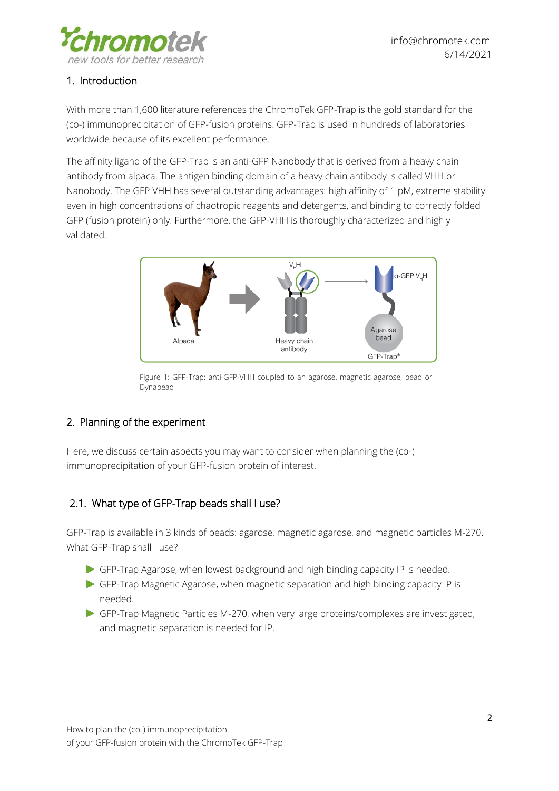

# <span id="page-1-0"></span>1. Introduction

With more than 1,600 literature references the ChromoTek GFP-Trap is the gold standard for the (co-) immunoprecipitation of GFP-fusion proteins. GFP-Trap is used in hundreds of laboratories worldwide because of its excellent performance.

The affinity ligand of the GFP-Trap is an anti-GFP Nanobody that is derived from a heavy chain antibody from alpaca. The antigen binding domain of a heavy chain antibody is called VHH or Nanobody. The GFP VHH has several outstanding advantages: high affinity of 1 pM, extreme stability even in high concentrations of chaotropic reagents and detergents, and binding to correctly folded GFP (fusion protein) only. Furthermore, the GFP-VHH is thoroughly characterized and highly validated.



Figure 1: GFP-Trap: anti-GFP-VHH coupled to an agarose, magnetic agarose, bead or Dynabead

### <span id="page-1-1"></span>2. Planning of the experiment

Here, we discuss certain aspects you may want to consider when planning the (co-) immunoprecipitation of your GFP-fusion protein of interest.

### <span id="page-1-2"></span>2.1. What type of GFP-Trap beads shall I use?

GFP-Trap is available in 3 kinds of beads: agarose, magnetic agarose, and magnetic particles M-270. What GFP-Trap shall I use?

- GFP-Trap Agarose, when lowest background and high binding capacity IP is needed.
- GFP-Trap Magnetic Agarose, when magnetic separation and high binding capacity IP is needed.
- GFP-Trap Magnetic Particles M-270, when very large proteins/complexes are investigated, and magnetic separation is needed for IP.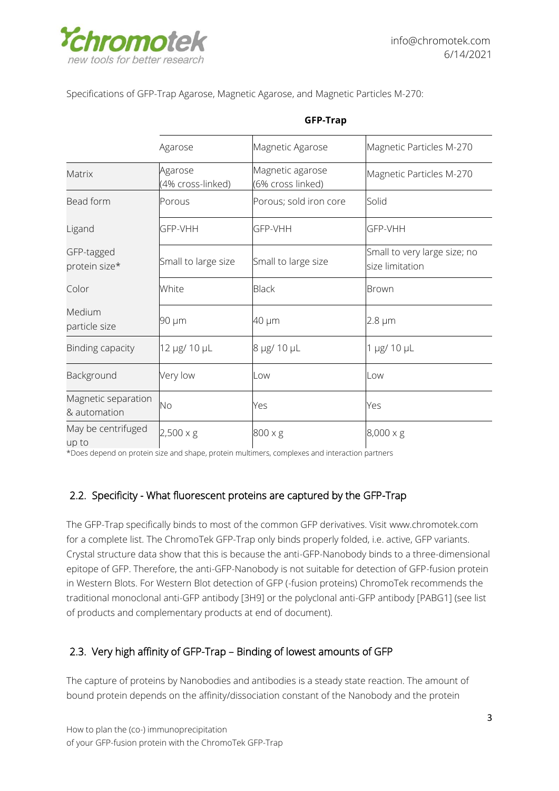

Specifications of GFP-Trap Agarose, Magnetic Agarose, and Magnetic Particles M-270:

|                                     | Agarose                      | Magnetic Agarose                      | Magnetic Particles M-270                        |
|-------------------------------------|------------------------------|---------------------------------------|-------------------------------------------------|
| Matrix                              | Agarose<br>(4% cross-linked) | Magnetic agarose<br>(6% cross linked) | Magnetic Particles M-270                        |
| Bead form                           | Porous                       | Porous; sold iron core                | Solid                                           |
| Ligand                              | GFP-VHH                      | GFP-VHH                               | GFP-VHH                                         |
| GFP-tagged<br>protein size*         | Small to large size          | Small to large size                   | Small to very large size; no<br>size limitation |
| Color                               | White                        | <b>Black</b>                          | Brown                                           |
| Medium<br>particle size             | 90 µm                        | 40 µm                                 | 2.8 µm                                          |
| Binding capacity                    | 12 µg/ 10 µL                 | 8 µg/ 10 µL                           | 1 µg/ 10 µL                                     |
| Background                          | Very low                     | Low<br>Low                            |                                                 |
| Magnetic separation<br>& automation | No                           | Yes                                   | Yes                                             |
| May be centrifuged<br>un to         | $2,500 \times g$             | 800 x g                               | $8,000 \times g$                                |

#### **GFP-Trap**

\*Does depend on protein size and shape, protein multimers, complexes and interaction partners

### <span id="page-2-0"></span>2.2. Specificity - What fluorescent proteins are captured by the GFP-Trap

The GFP-Trap specifically binds to most of the common GFP derivatives. Visit [www.chromotek.com](http://www.chromotek.com/) for a complete list. The ChromoTek GFP-Trap only binds properly folded, i.e. active, GFP variants. Crystal structure data show that this is because the anti-GFP-Nanobody binds to a three-dimensional epitope of GFP. Therefore, the anti-GFP-Nanobody is not suitable for detection of GFP-fusion protein in Western Blots. For Western Blot detection of GFP (-fusion proteins) ChromoTek recommends the traditional monoclonal anti-GFP antibody [3H9] or the polyclonal anti-GFP antibody [PABG1] (see list of products and complementary products at end of document).

### <span id="page-2-1"></span>2.3. Very high affinity of GFP-Trap – Binding of lowest amounts of GFP

The capture of proteins by Nanobodies and antibodies is a steady state reaction. The amount of bound protein depends on the affinity/dissociation constant of the Nanobody and the protein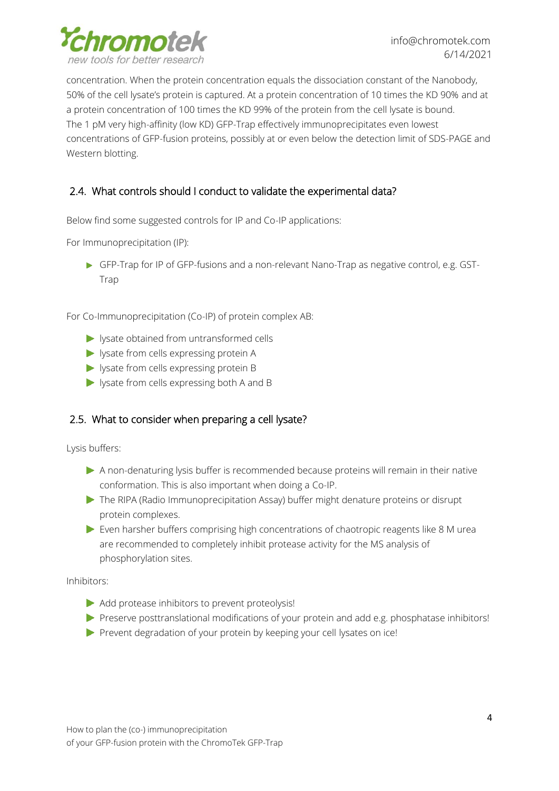

concentration. When the protein concentration equals the dissociation constant of the Nanobody, 50% of the cell lysate's protein is captured. At a protein concentration of 10 times the KD 90% and at a protein concentration of 100 times the KD 99% of the protein from the cell lysate is bound. The 1 pM very high-affinity (low KD) GFP-Trap effectively immunoprecipitates even lowest concentrations of GFP-fusion proteins, possibly at or even below the detection limit of SDS-PAGE and Western blotting.

# <span id="page-3-0"></span>2.4. What controls should I conduct to validate the experimental data?

Below find some suggested controls for IP and Co-IP applications:

For Immunoprecipitation (IP):

GFP-Trap for IP of GFP-fusions and a non-relevant Nano-Trap as negative control, e.g. GST-Trap

For Co-Immunoprecipitation (Co-IP) of protein complex AB:

- state obtained from untransformed cells
- lysate from cells expressing protein A
- lysate from cells expressing protein B
- lysate from cells expressing both A and B

#### <span id="page-3-1"></span>2.5. What to consider when preparing a cell lysate?

Lysis buffers:

- A non-denaturing lysis buffer is recommended because proteins will remain in their native conformation. This is also important when doing a Co-IP.
- The RIPA (Radio Immunoprecipitation Assay) buffer might denature proteins or disrupt protein complexes.
- Even harsher buffers comprising high concentrations of chaotropic reagents like 8 M urea are recommended to completely inhibit protease activity for the MS analysis of phosphorylation sites.

Inhibitors:

- Add protease inhibitors to prevent proteolysis!
- Preserve posttranslational modifications of your protein and add e.g. phosphatase inhibitors!
- $\blacktriangleright$  Prevent degradation of your protein by keeping your cell lysates on ice!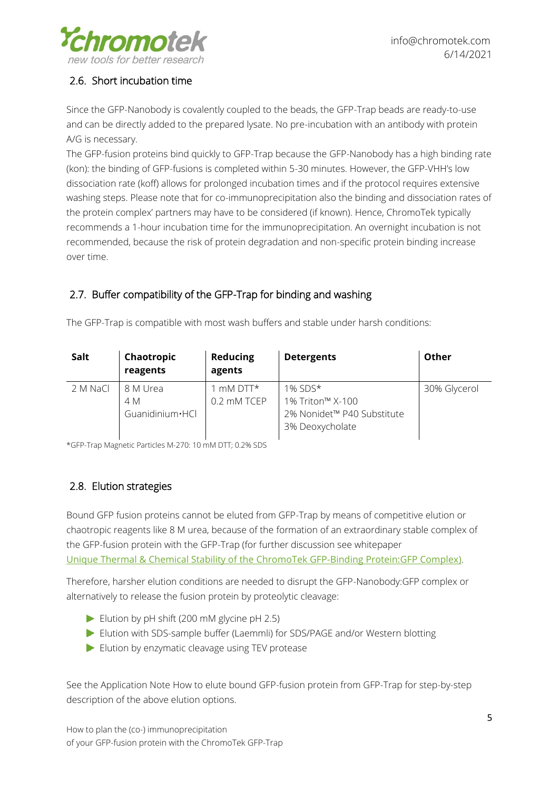

# <span id="page-4-0"></span>2.6. Short incubation time

Since the GFP-Nanobody is covalently coupled to the beads, the GFP-Trap beads are ready-to-use and can be directly added to the prepared lysate. No pre-incubation with an antibody with protein A/G is necessary.

The GFP-fusion proteins bind quickly to GFP-Trap because the GFP-Nanobody has a high binding rate (kon): the binding of GFP-fusions is completed within 5-30 minutes. However, the GFP-VHH's low dissociation rate (koff) allows for prolonged incubation times and if the protocol requires extensive washing steps. Please note that for co-immunoprecipitation also the binding and dissociation rates of the protein complex' partners may have to be considered (if known). Hence, ChromoTek typically recommends a 1-hour incubation time for the immunoprecipitation. An overnight incubation is not recommended, because the risk of protein degradation and non-specific protein binding increase over time.

# <span id="page-4-1"></span>2.7. Buffer compatibility of the GFP-Trap for binding and washing

| Salt     | Chaotropic<br>reagents             | <b>Reducing</b><br>agents     | <b>Detergents</b>                                                               | Other        |
|----------|------------------------------------|-------------------------------|---------------------------------------------------------------------------------|--------------|
| 2 M NaCl | 8 M Urea<br>4 M<br>Guanidinium·HCl | $\Box$ mM DTT*<br>0.2 mM TCEP | $1\%$ SDS*<br>1% Triton™ X-100<br>2% Nonidet™ P40 Substitute<br>3% Deoxycholate | 30% Glycerol |

The GFP-Trap is compatible with most wash buffers and stable under harsh conditions:

\*GFP-Trap Magnetic Particles M-270: 10 mM DTT; 0.2% SDS

# <span id="page-4-2"></span>2.8. Elution strategies

Bound GFP fusion proteins cannot be eluted from GFP-Trap by means of competitive elution or chaotropic reagents like 8 M urea, because of the formation of an extraordinary stable complex of the GFP-fusion protein with the GFP-Trap (for further discussion see whitepaper [Unique Thermal & Chemical Stability of the ChromoTek GFP-Binding Protein:GFP Complex\)](http://resources.chromotek.com/gfp-binding-protein-complex-stability).

Therefore, harsher elution conditions are needed to disrupt the GFP-Nanobody:GFP complex or alternatively to release the fusion protein by proteolytic cleavage:

- Elution by pH shift  $(200 \text{ mM})$  glycine pH 2.5)
- Elution with SDS-sample buffer (Laemmli) for SDS/PAGE and/or Western blotting
- Elution by enzymatic cleavage using TEV protease

See the Application Note [How to elute bound GFP-fusion protein from GFP-Trap](https://resources.chromotek.com/an_elution_of_gfp-fusion-proteins_from_gfp-trap) for step-by-step description of the above elution options.

How to plan the (co-) immunoprecipitation of your GFP-fusion protein with the ChromoTek GFP-Trap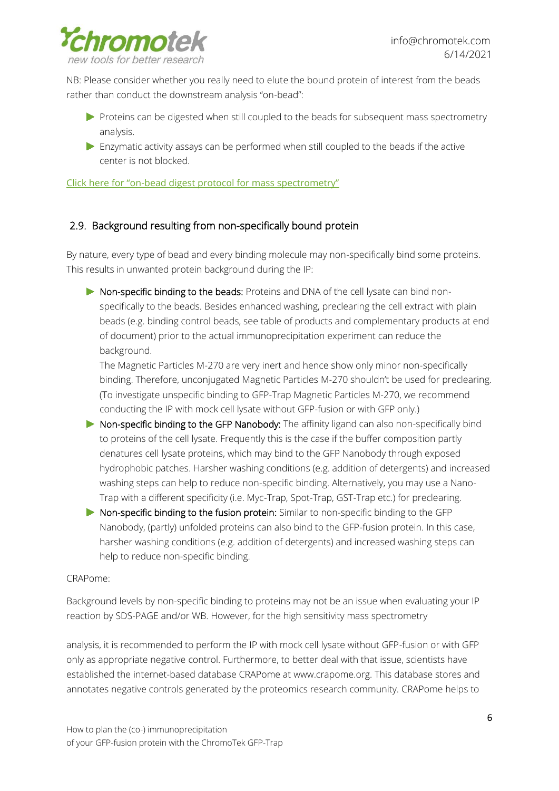

NB: Please consider whether you really need to elute the bound protein of interest from the beads rather than conduct the downstream analysis "on-bead":

- Proteins can be digested when still coupled to the beads for subsequent mass spectrometry analysis.
- Enzymatic activity assays can be performed when still coupled to the beads if the active center is not blocked.

Click here for "on-[bead digest protocol for mass spectrometry"](http://www.chromotek.com/fileadmin/user_upload/pdfs/Application_notes/App_note_ChromoTek_on_bead_digest_protocol.pdf)

#### <span id="page-5-0"></span>2.9. Background resulting from non-specifically bound protein

By nature, every type of bead and every binding molecule may non-specifically bind some proteins. This results in unwanted protein background during the IP:

Non-specific binding to the beads: Proteins and DNA of the cell lysate can bind nonspecifically to the beads. Besides enhanced washing, preclearing the cell extract with plain beads (e.g. binding control beads, see table of products and complementary products at end of document) prior to the actual immunoprecipitation experiment can reduce the background.

The Magnetic Particles M-270 are very inert and hence show only minor non-specifically binding. Therefore, unconjugated Magnetic Particles M-270 shouldn't be used for preclearing. (To investigate unspecific binding to GFP-Trap Magnetic Particles M-270, we recommend conducting the IP with mock cell lysate without GFP-fusion or with GFP only.)

- **Non-specific binding to the GFP Nanobody:** The affinity ligand can also non-specifically bind to proteins of the cell lysate. Frequently this is the case if the buffer composition partly denatures cell lysate proteins, which may bind to the GFP Nanobody through exposed hydrophobic patches. Harsher washing conditions (e.g. addition of detergents) and increased washing steps can help to reduce non-specific binding. Alternatively, you may use a Nano-Trap with a different specificity (i.e. Myc-Trap, Spot-Trap, GST-Trap etc.) for preclearing.
- Non-specific binding to the fusion protein: Similar to non-specific binding to the GFP Nanobody, (partly) unfolded proteins can also bind to the GFP-fusion protein. In this case, harsher washing conditions (e.g. addition of detergents) and increased washing steps can help to reduce non-specific binding.

#### CRAPome:

Background levels by non-specific binding to proteins may not be an issue when evaluating your IP reaction by SDS-PAGE and/or WB. However, for the high sensitivity mass spectrometry

analysis, it is recommended to perform the IP with mock cell lysate without GFP-fusion or with GFP only as appropriate negative control. Furthermore, to better deal with that issue, scientists have established the internet-based database CRAPome at [www.crapome.org.](http://www.crapome.org/) This database stores and annotates negative controls generated by the proteomics research community. CRAPome helps to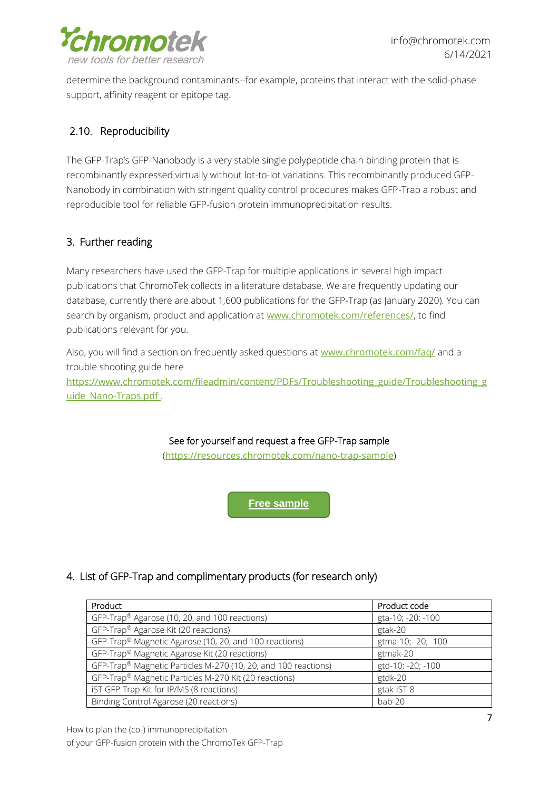

determine the background contaminants--for example, proteins that interact with the solid-phase support, affinity reagent or epitope tag.

# <span id="page-6-0"></span>2.10. Reproducibility

The GFP-Trap's GFP-Nanobody is a very stable single polypeptide chain binding protein that is recombinantly expressed virtually without lot-to-lot variations. This recombinantly produced GFP-Nanobody in combination with stringent quality control procedures makes GFP-Trap a robust and reproducible tool for reliable GFP-fusion protein immunoprecipitation results.

# <span id="page-6-1"></span>3. Further reading

Many researchers have used the GFP-Trap for multiple applications in several high impact publications that ChromoTek collects in a literature database. We are frequently updating our database, currently there are about 1,600 publications for the GFP-Trap (as January 2020). You can search by organism, product and application at [www.chromotek.com/references/](https://www.chromotek.com/references/), to find publications relevant for you.

Also, you will find a section on frequently asked questions at [www.chromotek.com/faq/](http://www.chromotek.com/faq/) and a trouble shooting guide here [https://www.chromotek.com/fileadmin/content/PDFs/Troubleshooting\\_guide/Troubleshooting\\_g](https://www.chromotek.com/fileadmin/content/PDFs/Troubleshooting_guide/Troubleshooting_guide_Nano-Traps.pdf) [uide\\_Nano-Traps.pdf](https://www.chromotek.com/fileadmin/content/PDFs/Troubleshooting_guide/Troubleshooting_guide_Nano-Traps.pdf) .

#### See for yourself and request a free GFP-Trap sample

(<https://resources.chromotek.com/nano-trap-sample>)

**[Free sample](https://resources.chromotek.com/nano-trap-sample)**

### <span id="page-6-2"></span>4. List of GFP-Trap and complimentary products (for research only)

| Product                                                        | Product code       |
|----------------------------------------------------------------|--------------------|
| GFP-Trap® Agarose (10, 20, and 100 reactions)                  | gta-10; -20; -100  |
| GFP-Trap® Agarose Kit (20 reactions)                           | gtak-20            |
| GFP-Trap® Magnetic Agarose (10, 20, and 100 reactions)         | gtma-10; -20; -100 |
| GFP-Trap® Magnetic Agarose Kit (20 reactions)                  | gtmak-20           |
| GFP-Trap® Magnetic Particles M-270 (10, 20, and 100 reactions) | gtd-10; -20; -100  |
| GFP-Trap® Magnetic Particles M-270 Kit (20 reactions)          | gtdk-20            |
| iST GFP-Trap Kit for IP/MS (8 reactions)                       | gtak-iST-8         |
| Binding Control Agarose (20 reactions)                         | bab-20             |

How to plan the (co-) immunoprecipitation of your GFP-fusion protein with the ChromoTek GFP-Trap